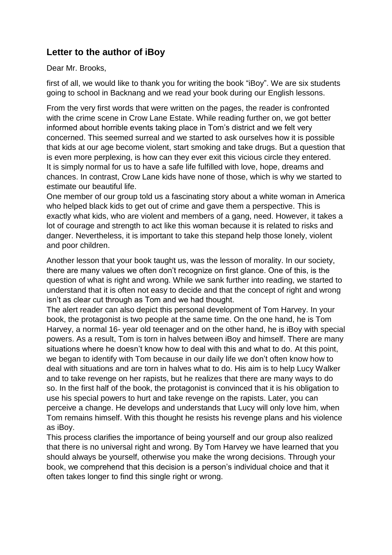## **Letter to the author of iBoy**

Dear Mr. Brooks,

first of all, we would like to thank you for writing the book "iBoy". We are six students going to school in Backnang and we read your book during our English lessons.

From the very first words that were written on the pages, the reader is confronted with the crime scene in Crow Lane Estate. While reading further on, we got better informed about horrible events taking place in Tom's district and we felt very concerned. This seemed surreal and we started to ask ourselves how it is possible that kids at our age become violent, start smoking and take drugs. But a question that is even more perplexing, is how can they ever exit this vicious circle they entered. It is simply normal for us to have a safe life fulfilled with love, hope, dreams and chances. In contrast, Crow Lane kids have none of those, which is why we started to estimate our beautiful life.

One member of our group told us a fascinating story about a white woman in America who helped black kids to get out of crime and gave them a perspective. This is exactly what kids, who are violent and members of a gang, need. However, it takes a lot of courage and strength to act like this woman because it is related to risks and danger. Nevertheless, it is important to take this stepand help those lonely, violent and poor children.

Another lesson that your book taught us, was the lesson of morality. In our society, there are many values we often don't recognize on first glance. One of this, is the question of what is right and wrong. While we sank further into reading, we started to understand that it is often not easy to decide and that the concept of right and wrong isn't as clear cut through as Tom and we had thought.

The alert reader can also depict this personal development of Tom Harvey. In your book, the protagonist is two people at the same time. On the one hand, he is Tom Harvey, a normal 16- year old teenager and on the other hand, he is iBoy with special powers. As a result, Tom is torn in halves between iBoy and himself. There are many situations where he doesn't know how to deal with this and what to do. At this point, we began to identify with Tom because in our daily life we don't often know how to deal with situations and are torn in halves what to do. His aim is to help Lucy Walker and to take revenge on her rapists, but he realizes that there are many ways to do so. In the first half of the book, the protagonist is convinced that it is his obligation to use his special powers to hurt and take revenge on the rapists. Later, you can perceive a change. He develops and understands that Lucy will only love him, when Tom remains himself. With this thought he resists his revenge plans and his violence as iBoy.

This process clarifies the importance of being yourself and our group also realized that there is no universal right and wrong. By Tom Harvey we have learned that you should always be yourself, otherwise you make the wrong decisions. Through your book, we comprehend that this decision is a person's individual choice and that it often takes longer to find this single right or wrong.